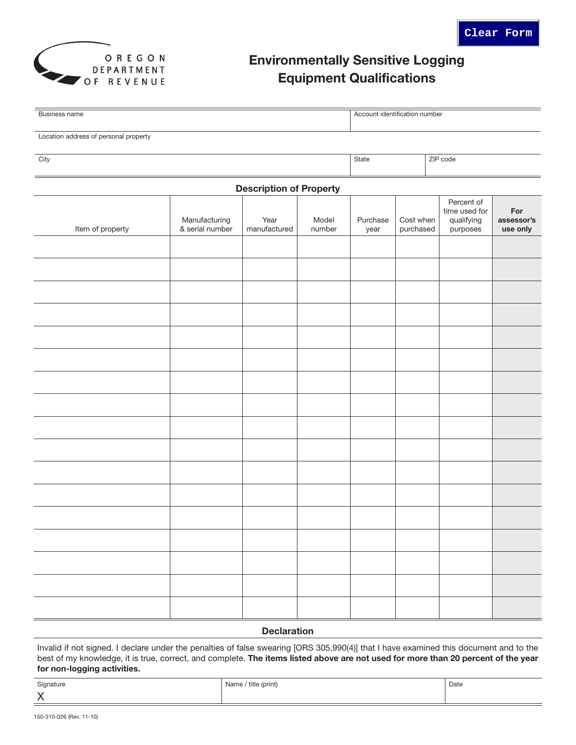

# Environmentally Sensitive Logging Equipment Qualifications

| Business name                         |                                  |                      |                 | Account identification number |                        |                                                       |                               |  |  |
|---------------------------------------|----------------------------------|----------------------|-----------------|-------------------------------|------------------------|-------------------------------------------------------|-------------------------------|--|--|
|                                       |                                  |                      |                 |                               |                        |                                                       |                               |  |  |
| Location address of personal property |                                  |                      |                 |                               |                        |                                                       |                               |  |  |
| City                                  |                                  |                      |                 | State                         | ZIP code               |                                                       |                               |  |  |
| <b>Description of Property</b>        |                                  |                      |                 |                               |                        |                                                       |                               |  |  |
| Item of property                      | Manufacturing<br>& serial number | Year<br>manufactured | Model<br>number | Purchase<br>year              | Cost when<br>purchased | Percent of<br>time used for<br>qualifying<br>purposes | For<br>assessor's<br>use only |  |  |
|                                       |                                  |                      |                 |                               |                        |                                                       |                               |  |  |
|                                       |                                  |                      |                 |                               |                        |                                                       |                               |  |  |
|                                       |                                  |                      |                 |                               |                        |                                                       |                               |  |  |
|                                       |                                  |                      |                 |                               |                        |                                                       |                               |  |  |
|                                       |                                  |                      |                 |                               |                        |                                                       |                               |  |  |
|                                       |                                  |                      |                 |                               |                        |                                                       |                               |  |  |
|                                       |                                  |                      |                 |                               |                        |                                                       |                               |  |  |
|                                       |                                  |                      |                 |                               |                        |                                                       |                               |  |  |
|                                       |                                  |                      |                 |                               |                        |                                                       |                               |  |  |
|                                       |                                  |                      |                 |                               |                        |                                                       |                               |  |  |
|                                       |                                  |                      |                 |                               |                        |                                                       |                               |  |  |
|                                       |                                  |                      |                 |                               |                        |                                                       |                               |  |  |
|                                       |                                  |                      |                 |                               |                        |                                                       |                               |  |  |
|                                       |                                  |                      |                 |                               |                        |                                                       |                               |  |  |
|                                       |                                  |                      |                 |                               |                        |                                                       |                               |  |  |
|                                       |                                  |                      |                 |                               |                        |                                                       |                               |  |  |
|                                       |                                  |                      |                 |                               |                        |                                                       |                               |  |  |

#### **Declaration**

Invalid if not signed. I declare under the penalties of false swearing [ORS 305.990(4)] that I have examined this document and to the best of my knowledge, it is true, correct, and complete. The items listed above are not used for more than 20 percent of the year for non-logging activities.

| Signature               | Name / title (print) | Date |
|-------------------------|----------------------|------|
| $\sqrt{}$<br>$\sqrt{ }$ |                      |      |